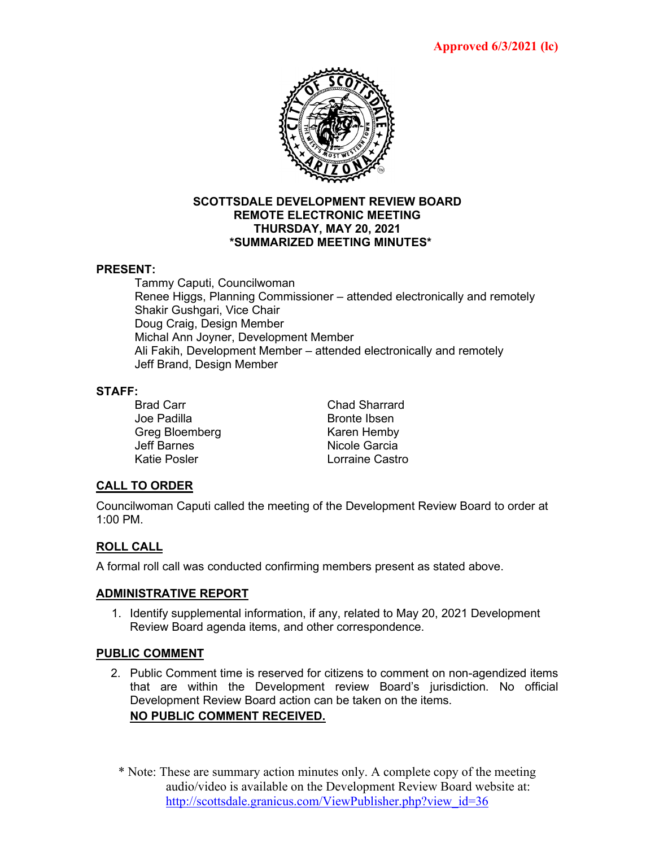

#### **SCOTTSDALE DEVELOPMENT REVIEW BOARD REMOTE ELECTRONIC MEETING THURSDAY, MAY 20, 2021 \*SUMMARIZED MEETING MINUTES\***

#### **PRESENT:**

Tammy Caputi, Councilwoman Renee Higgs, Planning Commissioner – attended electronically and remotely Shakir Gushgari, Vice Chair Doug Craig, Design Member Michal Ann Joyner, Development Member Ali Fakih, Development Member – attended electronically and remotely Jeff Brand, Design Member

#### **STAFF:**

Joe Padilla and Bronte Ibsen Greg Bloemberg Karen Hemby Jeff Barnes Nicole Garcia

Brad Carr Chad Sharrard Lorraine Castro

## **CALL TO ORDER**

Councilwoman Caputi called the meeting of the Development Review Board to order at 1:00 PM.

# **ROLL CALL**

A formal roll call was conducted confirming members present as stated above.

## **ADMINISTRATIVE REPORT**

1. Identify supplemental information, if any, related to May 20, 2021 Development Review Board agenda items, and other correspondence.

## **PUBLIC COMMENT**

- 2. Public Comment time is reserved for citizens to comment on non-agendized items that are within the Development review Board's jurisdiction. No official Development Review Board action can be taken on the items. **NO PUBLIC COMMENT RECEIVED.**
	- \* Note: These are summary action minutes only. A complete copy of the meeting audio/video is available on the Development Review Board website at: [http://scottsdale.granicus.com/ViewPublisher.php?view\\_id=36](http://scottsdale.granicus.com/ViewPublisher.php?view_id=36)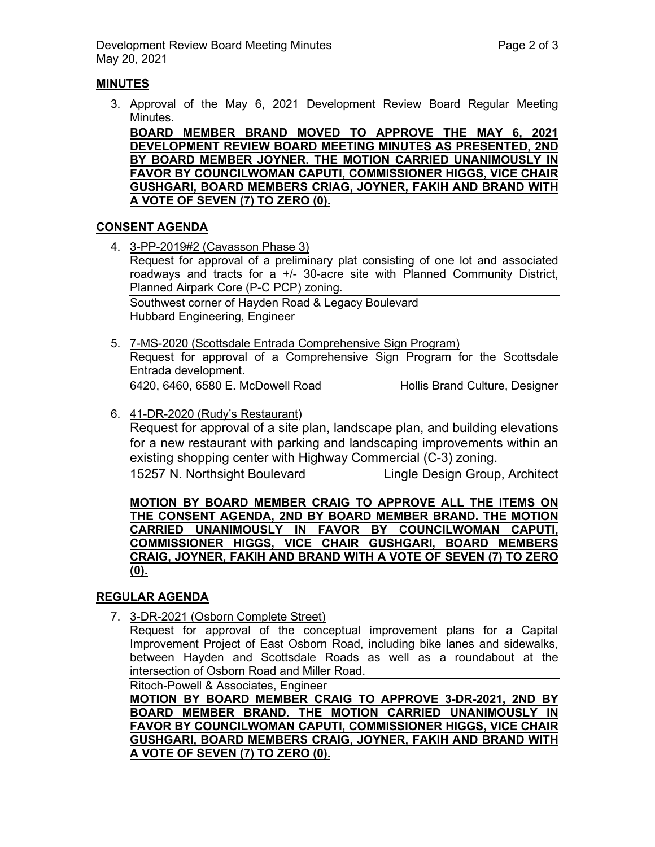## **MINUTES**

3. Approval of the May 6, 2021 Development Review Board Regular Meeting Minutes.

**BOARD MEMBER BRAND MOVED TO APPROVE THE MAY 6, 2021 DEVELOPMENT REVIEW BOARD MEETING MINUTES AS PRESENTED, 2ND BY BOARD MEMBER JOYNER. THE MOTION CARRIED UNANIMOUSLY IN FAVOR BY COUNCILWOMAN CAPUTI, COMMISSIONER HIGGS, VICE CHAIR GUSHGARI, BOARD MEMBERS CRIAG, JOYNER, FAKIH AND BRAND WITH A VOTE OF SEVEN (7) TO ZERO (0).**

# **CONSENT AGENDA**

4. 3-PP-2019#2 (Cavasson Phase 3) Request for approval of a preliminary plat consisting of one lot and associated roadways and tracts for a +/- 30-acre site with Planned Community District, Planned Airpark Core (P-C PCP) zoning.

Southwest corner of Hayden Road & Legacy Boulevard Hubbard Engineering, Engineer

- 5. 7-MS-2020 (Scottsdale Entrada Comprehensive Sign Program) Request for approval of a Comprehensive Sign Program for the Scottsdale Entrada development. 6420, 6460, 6580 E. McDowell Road Hollis Brand Culture, Designer
- 6. 41-DR-2020 (Rudy's Restaurant) Request for approval of a site plan, landscape plan, and building elevations for a new restaurant with parking and landscaping improvements within an existing shopping center with Highway Commercial (C-3) zoning. 15257 N. Northsight Boulevard Lingle Design Group, Architect

**MOTION BY BOARD MEMBER CRAIG TO APPROVE ALL THE ITEMS ON THE CONSENT AGENDA, 2ND BY BOARD MEMBER BRAND. THE MOTION CARRIED UNANIMOUSLY IN FAVOR BY COUNCILWOMAN CAPUTI, COMMISSIONER HIGGS, VICE CHAIR GUSHGARI, BOARD MEMBERS CRAIG, JOYNER, FAKIH AND BRAND WITH A VOTE OF SEVEN (7) TO ZERO (0).**

## **REGULAR AGENDA**

7. 3-DR-2021 (Osborn Complete Street)

Request for approval of the conceptual improvement plans for a Capital Improvement Project of East Osborn Road, including bike lanes and sidewalks, between Hayden and Scottsdale Roads as well as a roundabout at the intersection of Osborn Road and Miller Road.

Ritoch-Powell & Associates, Engineer

**MOTION BY BOARD MEMBER CRAIG TO APPROVE 3-DR-2021, 2ND BY BOARD MEMBER BRAND. THE MOTION CARRIED UNANIMOUSLY IN FAVOR BY COUNCILWOMAN CAPUTI, COMMISSIONER HIGGS, VICE CHAIR GUSHGARI, BOARD MEMBERS CRAIG, JOYNER, FAKIH AND BRAND WITH A VOTE OF SEVEN (7) TO ZERO (0).**